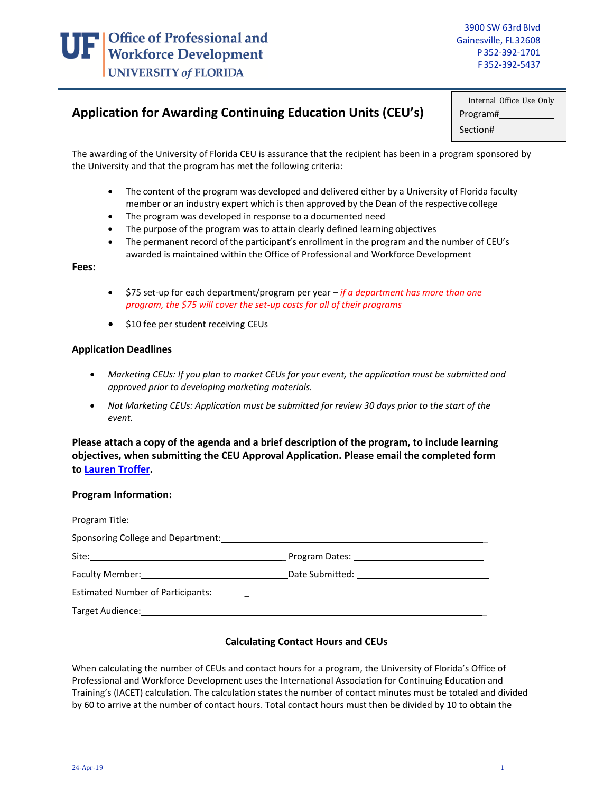## **Application for Awarding Continuing Education Units (CEU's)**

| Internal Office Use Only |  |  |
|--------------------------|--|--|
| Program#                 |  |  |
| Section#                 |  |  |

The awarding of the University of Florida CEU is assurance that the recipient has been in a program sponsored by the University and that the program has met the following criteria:

- The content of the program was developed and delivered either by a University of Florida faculty member or an industry expert which is then approved by the Dean of the respective college
- The program was developed in response to a documented need
- The purpose of the program was to attain clearly defined learning objectives
- The permanent record of the participant's enrollment in the program and the number of CEU's awarded is maintained within the Office of Professional and Workforce Development

**Fees:**

- \$75 set-up for each department/program per year *if a department has more than one program, the \$75 will cover the set-up costs for all of their programs*
- \$10 fee per student receiving CEUs

## **Application Deadlines**

- *Marketing CEUs: If you plan to market CEUs for your event, the application must be submitted and approved prior to developing marketing materials.*
- *Not Marketing CEUs: Application must be submitted for review 30 days prior to the start of the event.*

**Please attach a copy of the agenda and a brief description of the program, to include learning objectives, when submitting the CEU Approval Application. Please email the completed form to [Lauren Troffer.](mailto:ltroffer@ufl.edu)**

## **Program Information:**

|                                   | <b>Program Dates:</b> The contract of the contract of the contract of the contract of the contract of the contract of the contract of the contract of the contract of the contract of the contract of the contract of the contract |
|-----------------------------------|------------------------------------------------------------------------------------------------------------------------------------------------------------------------------------------------------------------------------------|
|                                   |                                                                                                                                                                                                                                    |
| Estimated Number of Participants: |                                                                                                                                                                                                                                    |
|                                   |                                                                                                                                                                                                                                    |

## **Calculating Contact Hours and CEUs**

When calculating the number of CEUs and contact hours for a program, the University of Florida's Office of Professional and Workforce Development uses the International Association for Continuing Education and Training's (IACET) calculation. The calculation states the number of contact minutes must be totaled and divided by 60 to arrive at the number of contact hours. Total contact hours must then be divided by 10 to obtain the